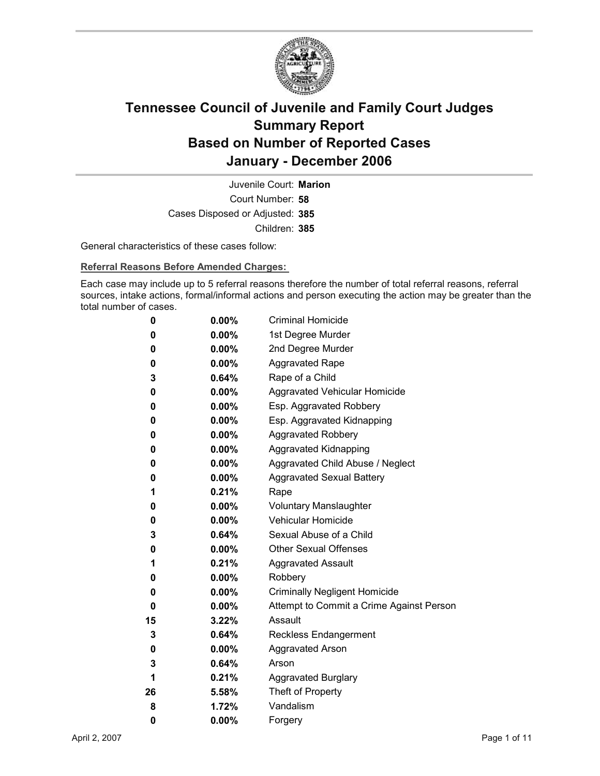

Court Number: **58** Juvenile Court: **Marion** Cases Disposed or Adjusted: **385** Children: **385**

General characteristics of these cases follow:

**Referral Reasons Before Amended Charges:** 

Each case may include up to 5 referral reasons therefore the number of total referral reasons, referral sources, intake actions, formal/informal actions and person executing the action may be greater than the total number of cases.

| 0  | $0.00\%$ | <b>Criminal Homicide</b>                 |
|----|----------|------------------------------------------|
| 0  | $0.00\%$ | 1st Degree Murder                        |
| 0  | $0.00\%$ | 2nd Degree Murder                        |
| 0  | $0.00\%$ | <b>Aggravated Rape</b>                   |
| 3  | $0.64\%$ | Rape of a Child                          |
| 0  | $0.00\%$ | Aggravated Vehicular Homicide            |
| 0  | $0.00\%$ | Esp. Aggravated Robbery                  |
| 0  | $0.00\%$ | Esp. Aggravated Kidnapping               |
| 0  | $0.00\%$ | <b>Aggravated Robbery</b>                |
| 0  | $0.00\%$ | <b>Aggravated Kidnapping</b>             |
| 0  | $0.00\%$ | Aggravated Child Abuse / Neglect         |
| 0  | $0.00\%$ | <b>Aggravated Sexual Battery</b>         |
| 1  | 0.21%    | Rape                                     |
| 0  | $0.00\%$ | <b>Voluntary Manslaughter</b>            |
| 0  | $0.00\%$ | <b>Vehicular Homicide</b>                |
| 3  | $0.64\%$ | Sexual Abuse of a Child                  |
| 0  | $0.00\%$ | <b>Other Sexual Offenses</b>             |
| 1  | $0.21\%$ | <b>Aggravated Assault</b>                |
| 0  | $0.00\%$ | Robbery                                  |
| 0  | $0.00\%$ | <b>Criminally Negligent Homicide</b>     |
| 0  | $0.00\%$ | Attempt to Commit a Crime Against Person |
| 15 | 3.22%    | Assault                                  |
| 3  | $0.64\%$ | <b>Reckless Endangerment</b>             |
| 0  | $0.00\%$ | <b>Aggravated Arson</b>                  |
| 3  | 0.64%    | Arson                                    |
| 1  | $0.21\%$ | <b>Aggravated Burglary</b>               |
| 26 | 5.58%    | Theft of Property                        |
| 8  | 1.72%    | Vandalism                                |
| 0  | 0.00%    | Forgery                                  |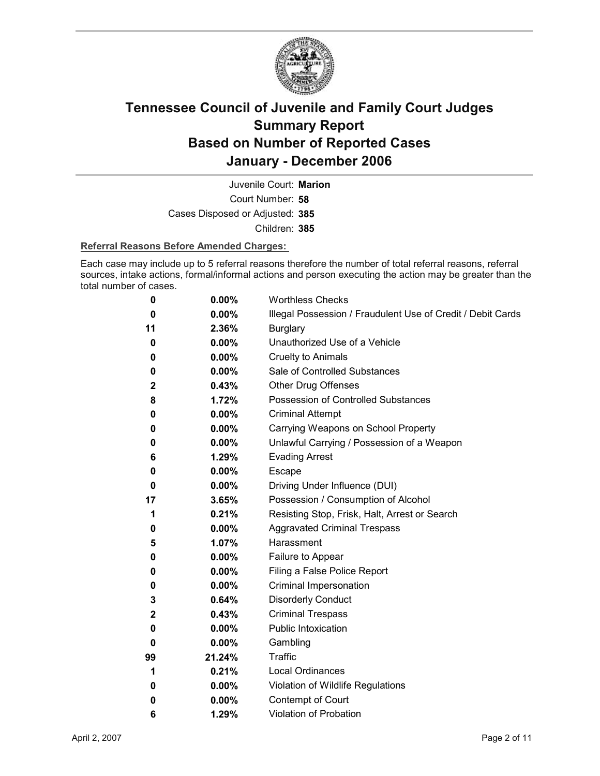

Court Number: **58** Juvenile Court: **Marion** Cases Disposed or Adjusted: **385** Children: **385**

#### **Referral Reasons Before Amended Charges:**

Each case may include up to 5 referral reasons therefore the number of total referral reasons, referral sources, intake actions, formal/informal actions and person executing the action may be greater than the total number of cases.

| 0           | 0.00%    | <b>Worthless Checks</b>                                     |
|-------------|----------|-------------------------------------------------------------|
| 0           | 0.00%    | Illegal Possession / Fraudulent Use of Credit / Debit Cards |
| 11          | 2.36%    | <b>Burglary</b>                                             |
| 0           | $0.00\%$ | Unauthorized Use of a Vehicle                               |
| 0           | 0.00%    | <b>Cruelty to Animals</b>                                   |
| 0           | $0.00\%$ | Sale of Controlled Substances                               |
| $\mathbf 2$ | 0.43%    | <b>Other Drug Offenses</b>                                  |
| 8           | 1.72%    | Possession of Controlled Substances                         |
| 0           | 0.00%    | <b>Criminal Attempt</b>                                     |
| 0           | 0.00%    | Carrying Weapons on School Property                         |
| 0           | 0.00%    | Unlawful Carrying / Possession of a Weapon                  |
| 6           | 1.29%    | <b>Evading Arrest</b>                                       |
| 0           | 0.00%    | Escape                                                      |
| 0           | $0.00\%$ | Driving Under Influence (DUI)                               |
| 17          | 3.65%    | Possession / Consumption of Alcohol                         |
| 1           | 0.21%    | Resisting Stop, Frisk, Halt, Arrest or Search               |
| 0           | 0.00%    | <b>Aggravated Criminal Trespass</b>                         |
| 5           | 1.07%    | Harassment                                                  |
| 0           | 0.00%    | Failure to Appear                                           |
| 0           | 0.00%    | Filing a False Police Report                                |
| 0           | 0.00%    | Criminal Impersonation                                      |
| 3           | 0.64%    | <b>Disorderly Conduct</b>                                   |
| $\mathbf 2$ | 0.43%    | <b>Criminal Trespass</b>                                    |
| 0           | $0.00\%$ | <b>Public Intoxication</b>                                  |
| 0           | 0.00%    | Gambling                                                    |
| 99          | 21.24%   | <b>Traffic</b>                                              |
| 1           | 0.21%    | <b>Local Ordinances</b>                                     |
| 0           | $0.00\%$ | Violation of Wildlife Regulations                           |
| 0           | 0.00%    | Contempt of Court                                           |
| 6           | 1.29%    | <b>Violation of Probation</b>                               |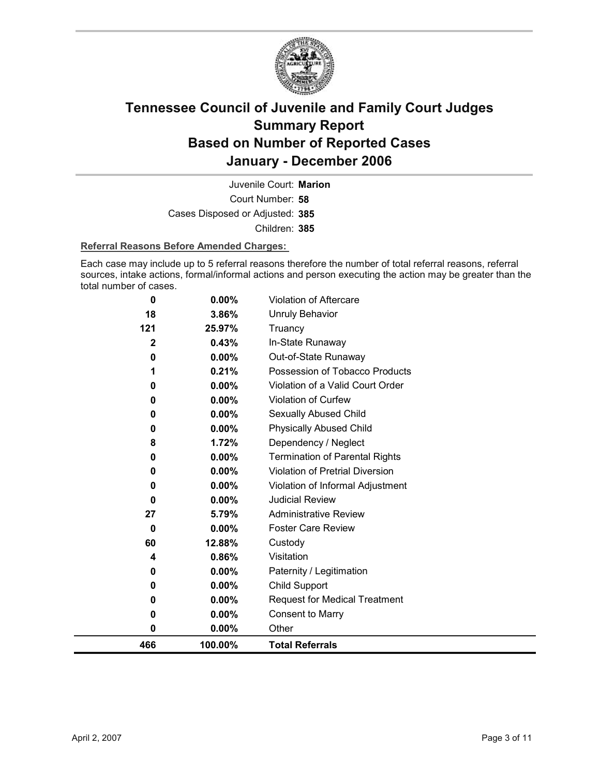

Court Number: **58** Juvenile Court: **Marion** Cases Disposed or Adjusted: **385** Children: **385**

#### **Referral Reasons Before Amended Charges:**

Each case may include up to 5 referral reasons therefore the number of total referral reasons, referral sources, intake actions, formal/informal actions and person executing the action may be greater than the total number of cases.

| 466                   | 100.00%        | <b>Total Referrals</b>                   |
|-----------------------|----------------|------------------------------------------|
| 0                     | $0.00\%$       | Other                                    |
| 0                     | 0.00%          | <b>Consent to Marry</b>                  |
| 0                     | 0.00%          | <b>Request for Medical Treatment</b>     |
| 0                     | $0.00\%$       | Child Support                            |
| 0                     | $0.00\%$       | Paternity / Legitimation                 |
| 4                     | 0.86%          | Visitation                               |
| 60                    | 12.88%         | Custody                                  |
| 0                     | 0.00%          | <b>Foster Care Review</b>                |
| 27                    | 5.79%          | <b>Administrative Review</b>             |
| 0                     | $0.00\%$       | <b>Judicial Review</b>                   |
| 0                     | 0.00%          | Violation of Informal Adjustment         |
| 0                     | 0.00%          | Violation of Pretrial Diversion          |
| 0                     | 0.00%          | <b>Termination of Parental Rights</b>    |
| 8                     | 1.72%          | Dependency / Neglect                     |
| 0                     | 0.00%          | <b>Physically Abused Child</b>           |
| 0                     | 0.00%          | Sexually Abused Child                    |
| 0                     | 0.00%          | Violation of Curfew                      |
| 0                     | 0.00%          | Violation of a Valid Court Order         |
| 1                     | 0.21%          | Possession of Tobacco Products           |
| 0                     | 0.43%<br>0.00% | In-State Runaway<br>Out-of-State Runaway |
| 121<br>$\overline{2}$ | 25.97%         | Truancy                                  |
| 18                    | 3.86%          | Unruly Behavior                          |
|                       |                |                                          |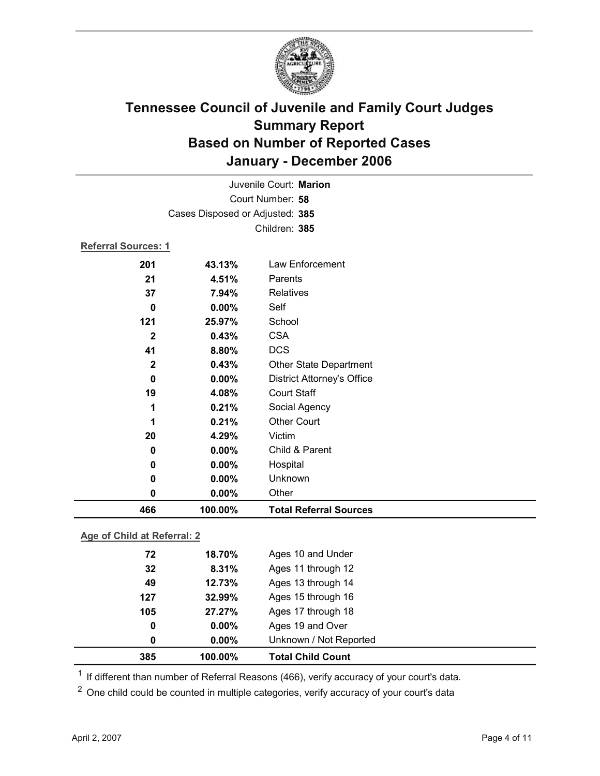

| Juvenile Court: Marion          |                             |                                   |  |  |
|---------------------------------|-----------------------------|-----------------------------------|--|--|
| Court Number: 58                |                             |                                   |  |  |
| Cases Disposed or Adjusted: 385 |                             |                                   |  |  |
|                                 |                             | Children: 385                     |  |  |
| <b>Referral Sources: 1</b>      |                             |                                   |  |  |
| 201                             | 43.13%                      | Law Enforcement                   |  |  |
| 21                              | 4.51%                       | Parents                           |  |  |
| 37                              | 7.94%                       | Relatives                         |  |  |
| $\bf{0}$                        | 0.00%                       | Self                              |  |  |
| 121                             | 25.97%                      | School                            |  |  |
| $\mathbf{2}$                    | 0.43%                       | <b>CSA</b>                        |  |  |
| 41                              | 8.80%                       | <b>DCS</b>                        |  |  |
| $\mathbf{2}$                    | 0.43%                       | <b>Other State Department</b>     |  |  |
| $\mathbf 0$                     | 0.00%                       | <b>District Attorney's Office</b> |  |  |
| 19                              | 4.08%                       | <b>Court Staff</b>                |  |  |
| 1                               | 0.21%                       | Social Agency                     |  |  |
| 1                               | 0.21%                       | <b>Other Court</b>                |  |  |
| 20                              | 4.29%                       | Victim                            |  |  |
| $\bf{0}$                        | 0.00%                       | Child & Parent                    |  |  |
| 0                               | $0.00\%$                    | Hospital                          |  |  |
| 0                               | 0.00%                       | Unknown                           |  |  |
| $\mathbf 0$                     | 0.00%                       | Other                             |  |  |
| 466                             | 100.00%                     | <b>Total Referral Sources</b>     |  |  |
| Age of Child at Referral: 2     |                             |                                   |  |  |
| 72                              | Ages 10 and Under<br>18.70% |                                   |  |  |

| 385 | 100.00%  | <b>Total Child Count</b> |  |
|-----|----------|--------------------------|--|
| 0   | $0.00\%$ | Unknown / Not Reported   |  |
| 0   | $0.00\%$ | Ages 19 and Over         |  |
| 105 | 27.27%   | Ages 17 through 18       |  |
| 127 | 32.99%   | Ages 15 through 16       |  |
| 49  | 12.73%   | Ages 13 through 14       |  |
| 32  | 8.31%    | Ages 11 through 12       |  |
| 72  | 18.70%   | Ages 10 and Under        |  |

<sup>1</sup> If different than number of Referral Reasons (466), verify accuracy of your court's data.

<sup>2</sup> One child could be counted in multiple categories, verify accuracy of your court's data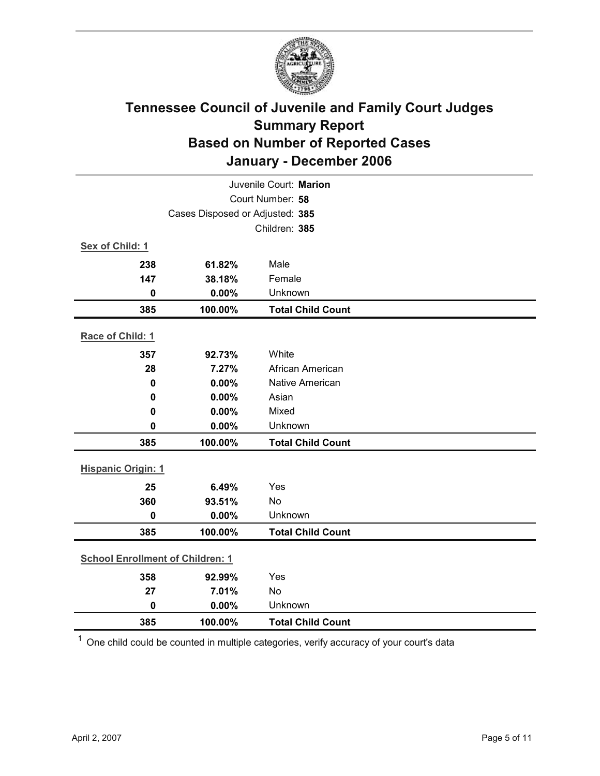

|                                 | Juvenile Court: Marion                  |                          |  |  |
|---------------------------------|-----------------------------------------|--------------------------|--|--|
|                                 | Court Number: 58                        |                          |  |  |
| Cases Disposed or Adjusted: 385 |                                         |                          |  |  |
|                                 |                                         | Children: 385            |  |  |
| Sex of Child: 1                 |                                         |                          |  |  |
| 238                             | 61.82%                                  | Male                     |  |  |
| 147                             | 38.18%                                  | Female                   |  |  |
| $\mathbf 0$                     | 0.00%                                   | Unknown                  |  |  |
| 385                             | 100.00%                                 | <b>Total Child Count</b> |  |  |
| Race of Child: 1                |                                         |                          |  |  |
| 357                             | 92.73%                                  | White                    |  |  |
| 28                              | 7.27%                                   | African American         |  |  |
| $\mathbf 0$                     | 0.00%                                   | <b>Native American</b>   |  |  |
| 0                               | 0.00%                                   | Asian                    |  |  |
| $\mathbf 0$                     | 0.00%                                   | Mixed                    |  |  |
| $\mathbf 0$                     | 0.00%                                   | Unknown                  |  |  |
| 385                             | 100.00%                                 | <b>Total Child Count</b> |  |  |
| <b>Hispanic Origin: 1</b>       |                                         |                          |  |  |
| 25                              | 6.49%                                   | Yes                      |  |  |
| 360                             | 93.51%                                  | No                       |  |  |
| $\mathbf 0$                     | 0.00%                                   | Unknown                  |  |  |
| 385                             | 100.00%                                 | <b>Total Child Count</b> |  |  |
|                                 | <b>School Enrollment of Children: 1</b> |                          |  |  |
| 358                             | 92.99%                                  | Yes                      |  |  |
| 27                              | 7.01%                                   | No                       |  |  |
| $\mathbf 0$                     | 0.00%                                   | Unknown                  |  |  |
| 385                             | 100.00%                                 | <b>Total Child Count</b> |  |  |

 $1$  One child could be counted in multiple categories, verify accuracy of your court's data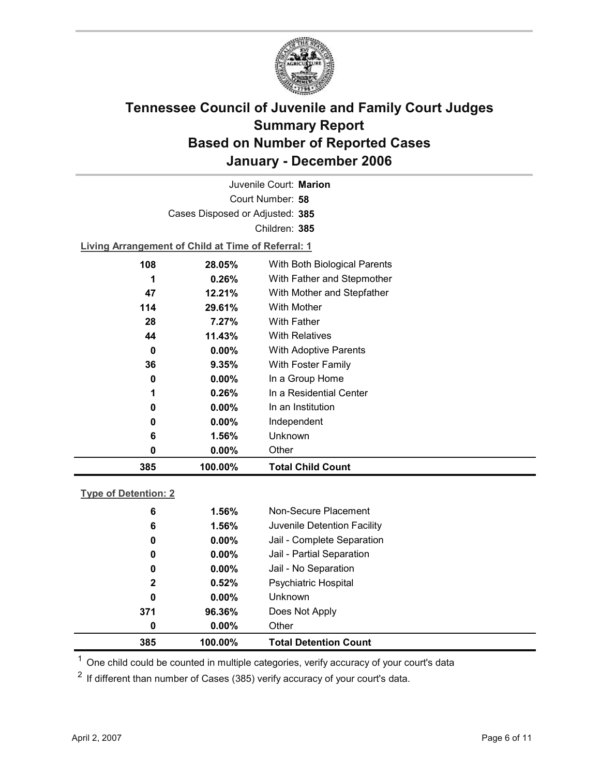

Court Number: **58** Juvenile Court: **Marion** Cases Disposed or Adjusted: **385** Children: **385**

**Living Arrangement of Child at Time of Referral: 1**

| 385 | 100.00%  | <b>Total Child Count</b>     |
|-----|----------|------------------------------|
| 0   | $0.00\%$ | Other                        |
| 6   | 1.56%    | Unknown                      |
| 0   | $0.00\%$ | Independent                  |
| 0   | $0.00\%$ | In an Institution            |
| 1   | $0.26\%$ | In a Residential Center      |
| 0   | $0.00\%$ | In a Group Home              |
| 36  | 9.35%    | With Foster Family           |
| 0   | $0.00\%$ | <b>With Adoptive Parents</b> |
| 44  | 11.43%   | <b>With Relatives</b>        |
| 28  | 7.27%    | <b>With Father</b>           |
| 114 | 29.61%   | With Mother                  |
| 47  | 12.21%   | With Mother and Stepfather   |
| 1   | $0.26\%$ | With Father and Stepmother   |
| 108 | 28.05%   | With Both Biological Parents |
|     |          |                              |

### **Type of Detention: 2**

| 385          | 100.00%  | <b>Total Detention Count</b> |
|--------------|----------|------------------------------|
| 0            | $0.00\%$ | Other                        |
| 371          | 96.36%   | Does Not Apply               |
| 0            | $0.00\%$ | <b>Unknown</b>               |
| $\mathbf{2}$ | 0.52%    | <b>Psychiatric Hospital</b>  |
| 0            | $0.00\%$ | Jail - No Separation         |
| 0            | $0.00\%$ | Jail - Partial Separation    |
| 0            | $0.00\%$ | Jail - Complete Separation   |
| 6            | 1.56%    | Juvenile Detention Facility  |
| 6            | 1.56%    | Non-Secure Placement         |
|              |          |                              |

 $<sup>1</sup>$  One child could be counted in multiple categories, verify accuracy of your court's data</sup>

 $2$  If different than number of Cases (385) verify accuracy of your court's data.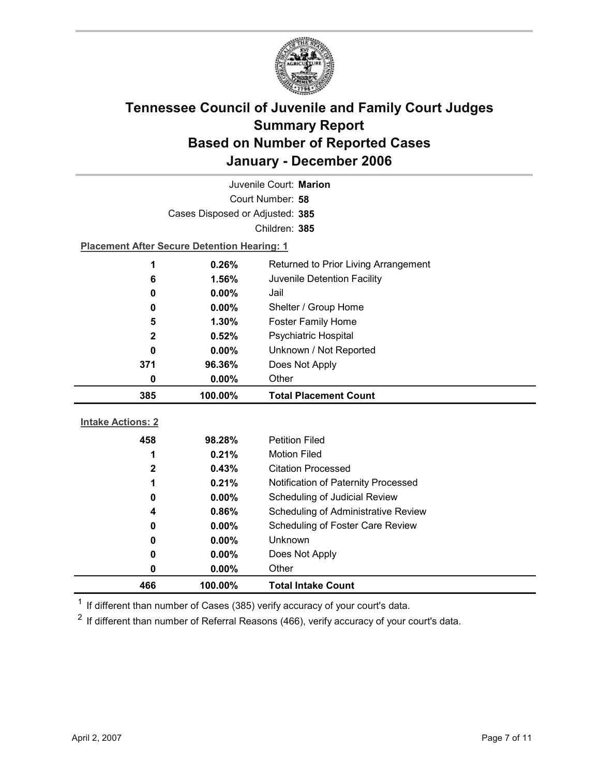

|                          | Juvenile Court: Marion                             |                                      |  |  |
|--------------------------|----------------------------------------------------|--------------------------------------|--|--|
|                          | Court Number: 58                                   |                                      |  |  |
|                          | Cases Disposed or Adjusted: 385                    |                                      |  |  |
|                          |                                                    | Children: 385                        |  |  |
|                          | <b>Placement After Secure Detention Hearing: 1</b> |                                      |  |  |
| 1                        | 0.26%                                              | Returned to Prior Living Arrangement |  |  |
| 6                        | 1.56%                                              | Juvenile Detention Facility          |  |  |
| 0                        | $0.00\%$                                           | Jail                                 |  |  |
| 0                        | $0.00\%$                                           | Shelter / Group Home                 |  |  |
| 5                        | 1.30%                                              | <b>Foster Family Home</b>            |  |  |
| $\mathbf{2}$             | 0.52%                                              | <b>Psychiatric Hospital</b>          |  |  |
| 0                        | $0.00\%$                                           | Unknown / Not Reported               |  |  |
| 371                      | 96.36%                                             | Does Not Apply                       |  |  |
| 0                        | 0.00%                                              | Other                                |  |  |
|                          |                                                    |                                      |  |  |
| 385                      | 100.00%                                            | <b>Total Placement Count</b>         |  |  |
|                          |                                                    |                                      |  |  |
| <b>Intake Actions: 2</b> |                                                    |                                      |  |  |
| 458                      | 98.28%                                             | <b>Petition Filed</b>                |  |  |
| 1                        | 0.21%                                              | <b>Motion Filed</b>                  |  |  |
| $\mathbf 2$              | 0.43%                                              | <b>Citation Processed</b>            |  |  |
| 1                        | 0.21%                                              | Notification of Paternity Processed  |  |  |
| 0                        | 0.00%                                              | Scheduling of Judicial Review        |  |  |
| 4                        | 0.86%                                              | Scheduling of Administrative Review  |  |  |
| 0                        | $0.00\%$                                           | Scheduling of Foster Care Review     |  |  |
| 0                        | $0.00\%$                                           | Unknown                              |  |  |
| 0                        | $0.00\%$                                           | Does Not Apply                       |  |  |
| 0                        | $0.00\%$                                           | Other                                |  |  |

 $1$  If different than number of Cases (385) verify accuracy of your court's data.

 $2$  If different than number of Referral Reasons (466), verify accuracy of your court's data.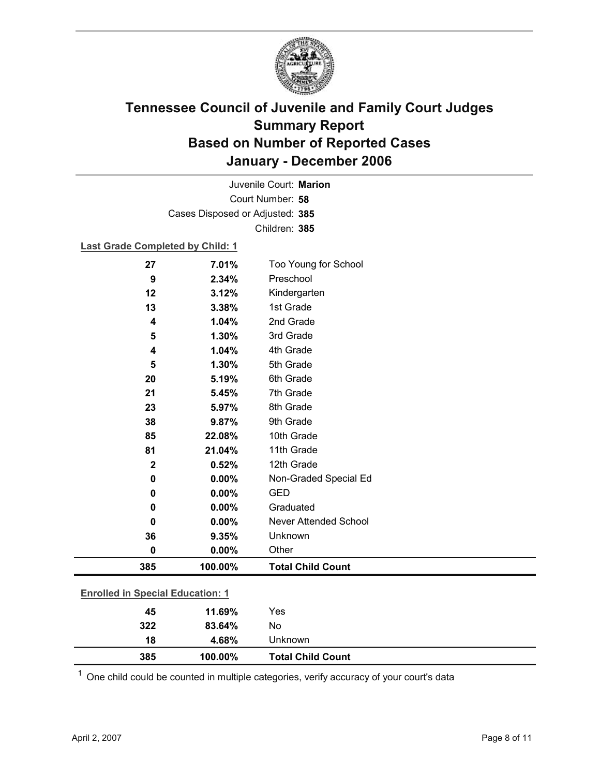

Court Number: **58** Juvenile Court: **Marion** Cases Disposed or Adjusted: **385** Children: **385**

#### **Last Grade Completed by Child: 1**

| 27          | 7.01%                                   | Too Young for School     |  |  |
|-------------|-----------------------------------------|--------------------------|--|--|
| 9           | 2.34%                                   | Preschool                |  |  |
| 12          | 3.12%                                   | Kindergarten             |  |  |
| 13          | 3.38%                                   | 1st Grade                |  |  |
| 4           | 1.04%                                   | 2nd Grade                |  |  |
| 5           | 1.30%                                   | 3rd Grade                |  |  |
| 4           | 1.04%                                   | 4th Grade                |  |  |
| 5           | 1.30%                                   | 5th Grade                |  |  |
| 20          | 5.19%                                   | 6th Grade                |  |  |
| 21          | 5.45%                                   | 7th Grade                |  |  |
| 23          | 5.97%                                   | 8th Grade                |  |  |
| 38          | 9.87%                                   | 9th Grade                |  |  |
| 85          | 22.08%                                  | 10th Grade               |  |  |
| 81          | 21.04%                                  | 11th Grade               |  |  |
| $\mathbf 2$ | 0.52%                                   | 12th Grade               |  |  |
| 0           | 0.00%                                   | Non-Graded Special Ed    |  |  |
| 0           | 0.00%                                   | <b>GED</b>               |  |  |
| 0           | 0.00%                                   | Graduated                |  |  |
| 0           | 0.00%                                   | Never Attended School    |  |  |
| 36          | 9.35%                                   | Unknown                  |  |  |
| 0           | 0.00%                                   | Other                    |  |  |
| 385         | 100.00%                                 | <b>Total Child Count</b> |  |  |
|             |                                         |                          |  |  |
|             | <b>Enrolled in Special Education: 1</b> |                          |  |  |
| 45          | 11.69%                                  | Yes                      |  |  |

| 385 | 100.00% | <b>Total Child Count</b> |  |
|-----|---------|--------------------------|--|
| 18  | 4.68%   | Unknown                  |  |
| 322 | 83.64%  | No                       |  |

 $1$  One child could be counted in multiple categories, verify accuracy of your court's data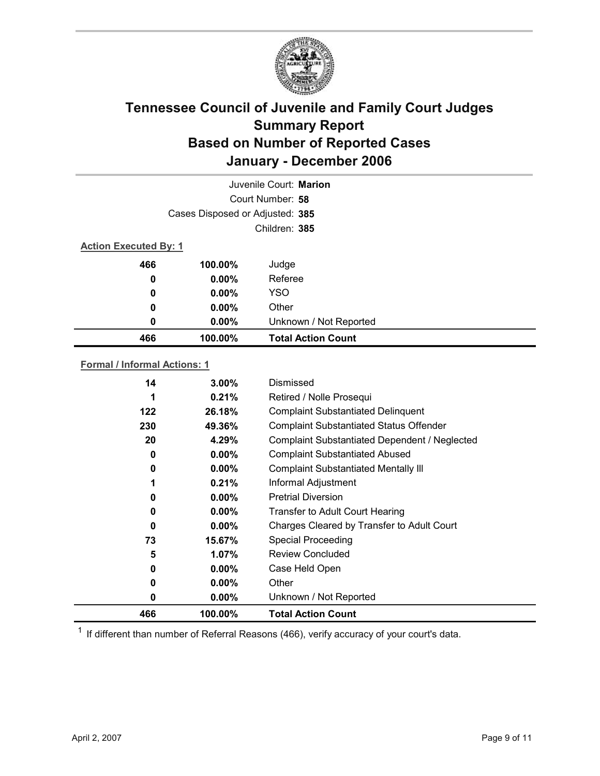

|                              |                                 | Juvenile Court: Marion    |
|------------------------------|---------------------------------|---------------------------|
|                              |                                 | Court Number: 58          |
|                              | Cases Disposed or Adjusted: 385 |                           |
|                              |                                 | Children: 385             |
| <b>Action Executed By: 1</b> |                                 |                           |
| 466                          | 100.00%                         | Judge                     |
| 0                            | $0.00\%$                        | Referee                   |
| $\bf{0}$                     | $0.00\%$                        | <b>YSO</b>                |
| 0                            | $0.00\%$                        | Other                     |
| 0                            | $0.00\%$                        | Unknown / Not Reported    |
| 466                          | 100.00%                         | <b>Total Action Count</b> |

### **Formal / Informal Actions: 1**

| 466 | 100.00%  | <b>Total Action Count</b>                      |
|-----|----------|------------------------------------------------|
| 0   | $0.00\%$ | Unknown / Not Reported                         |
| 0   | $0.00\%$ | Other                                          |
| 0   | $0.00\%$ | Case Held Open                                 |
| 5   | $1.07\%$ | <b>Review Concluded</b>                        |
| 73  | 15.67%   | <b>Special Proceeding</b>                      |
| 0   | $0.00\%$ | Charges Cleared by Transfer to Adult Court     |
| 0   | $0.00\%$ | <b>Transfer to Adult Court Hearing</b>         |
| 0   | $0.00\%$ | <b>Pretrial Diversion</b>                      |
|     | 0.21%    | Informal Adjustment                            |
| 0   | $0.00\%$ | <b>Complaint Substantiated Mentally III</b>    |
| 0   | $0.00\%$ | <b>Complaint Substantiated Abused</b>          |
| 20  | 4.29%    | Complaint Substantiated Dependent / Neglected  |
| 230 | 49.36%   | <b>Complaint Substantiated Status Offender</b> |
| 122 | 26.18%   | <b>Complaint Substantiated Delinquent</b>      |
| 1   | 0.21%    | Retired / Nolle Prosequi                       |
| 14  | $3.00\%$ | Dismissed                                      |
|     |          |                                                |

 $1$  If different than number of Referral Reasons (466), verify accuracy of your court's data.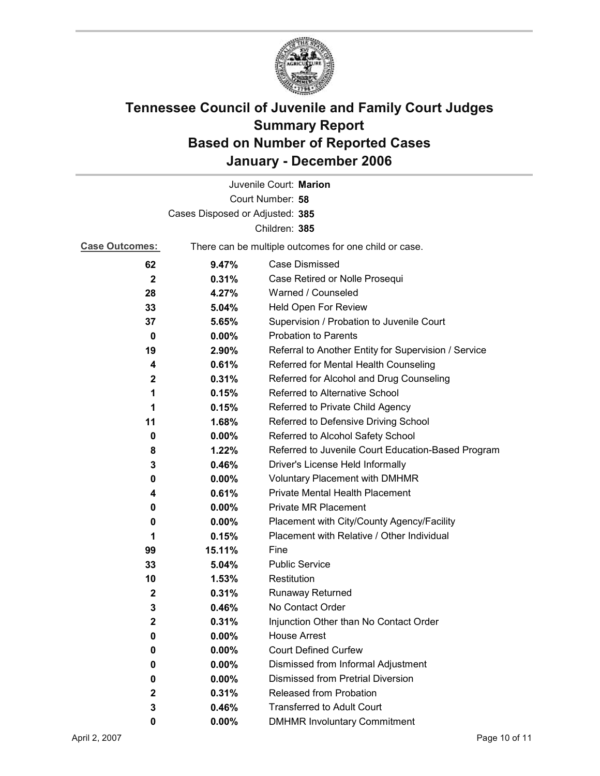

|                                 |                                                       | Juvenile Court: Marion                               |  |  |
|---------------------------------|-------------------------------------------------------|------------------------------------------------------|--|--|
|                                 |                                                       | Court Number: 58                                     |  |  |
| Cases Disposed or Adjusted: 385 |                                                       |                                                      |  |  |
|                                 |                                                       | Children: 385                                        |  |  |
| <b>Case Outcomes:</b>           | There can be multiple outcomes for one child or case. |                                                      |  |  |
| 62                              | 9.47%                                                 | Case Dismissed                                       |  |  |
| $\mathbf{2}$                    | 0.31%                                                 | Case Retired or Nolle Prosequi                       |  |  |
| 28                              | 4.27%                                                 | Warned / Counseled                                   |  |  |
| 33                              | 5.04%                                                 | Held Open For Review                                 |  |  |
| 37                              | 5.65%                                                 | Supervision / Probation to Juvenile Court            |  |  |
| 0                               | $0.00\%$                                              | <b>Probation to Parents</b>                          |  |  |
| 19                              | 2.90%                                                 | Referral to Another Entity for Supervision / Service |  |  |
| 4                               | 0.61%                                                 | Referred for Mental Health Counseling                |  |  |
| $\mathbf{2}$                    | 0.31%                                                 | Referred for Alcohol and Drug Counseling             |  |  |
| 1                               | 0.15%                                                 | Referred to Alternative School                       |  |  |
| 1                               | 0.15%                                                 | Referred to Private Child Agency                     |  |  |
| 11                              | 1.68%                                                 | Referred to Defensive Driving School                 |  |  |
| 0                               | $0.00\%$                                              | Referred to Alcohol Safety School                    |  |  |
| 8                               | 1.22%                                                 | Referred to Juvenile Court Education-Based Program   |  |  |
| 3                               | 0.46%                                                 | Driver's License Held Informally                     |  |  |
| 0                               | $0.00\%$                                              | <b>Voluntary Placement with DMHMR</b>                |  |  |
| 4                               | 0.61%                                                 | Private Mental Health Placement                      |  |  |
| 0                               | 0.00%                                                 | <b>Private MR Placement</b>                          |  |  |
| 0                               | $0.00\%$                                              | Placement with City/County Agency/Facility           |  |  |
| 1                               | 0.15%                                                 | Placement with Relative / Other Individual           |  |  |
| 99                              | 15.11%                                                | Fine                                                 |  |  |
| 33                              | 5.04%                                                 | <b>Public Service</b>                                |  |  |
| 10                              | 1.53%                                                 | Restitution                                          |  |  |
| $\mathbf 2$                     | 0.31%                                                 | <b>Runaway Returned</b>                              |  |  |
| 3                               | 0.46%                                                 | No Contact Order                                     |  |  |
| 2                               | 0.31%                                                 | Injunction Other than No Contact Order               |  |  |
| 0                               | 0.00%                                                 | <b>House Arrest</b>                                  |  |  |
| 0                               | $0.00\%$                                              | <b>Court Defined Curfew</b>                          |  |  |
| 0                               | 0.00%                                                 | Dismissed from Informal Adjustment                   |  |  |
| 0                               | $0.00\%$                                              | <b>Dismissed from Pretrial Diversion</b>             |  |  |
| 2                               | 0.31%                                                 | Released from Probation                              |  |  |
| 3                               | 0.46%                                                 | <b>Transferred to Adult Court</b>                    |  |  |
| 0                               | $0.00\%$                                              | <b>DMHMR Involuntary Commitment</b>                  |  |  |